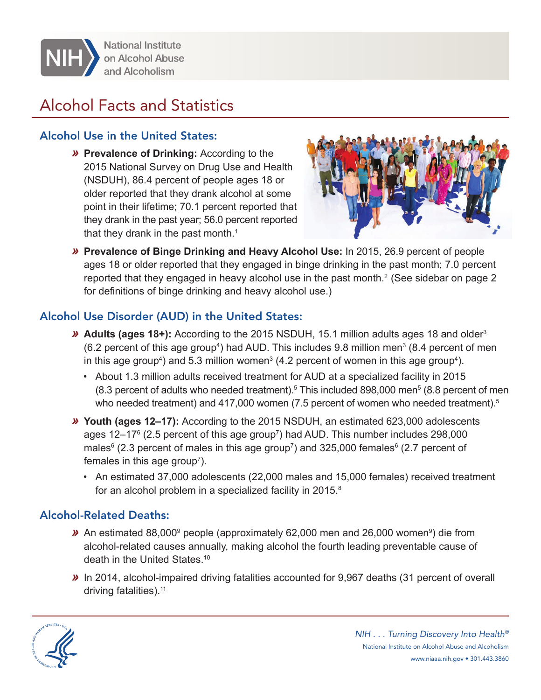

**National Institute** on Alcohol Abuse and Alcoholism

# Alcohol Facts and Statistics

# Alcohol Use in the United States:

*»* **Prevalence of Drinking:** According to the 2015 National Survey on Drug Use and Health (NSDUH), 86.4 percent of people ages 18 or older reported that they drank alcohol at some point in their lifetime; 70.1 percent reported that they drank in the past year; 56.0 percent reported that they drank in the past month.<sup>1</sup>



*»* **Prevalence of Binge Drinking and Heavy Alcohol Use:** In 2015, 26.9 percent of people ages 18 or older reported that they engaged in binge drinking in the past month; 7.0 percent reported that they engaged in heavy alcohol use in the past month.<sup>2</sup> (See sidebar on page 2) for definitions of binge drinking and heavy alcohol use.)

# Alcohol Use Disorder (AUD) in the United States:

- *»* **Adults (ages 18+):** According to the 2015 NSDUH, 15.1 million adults ages 18 and older3 (6.2 percent of this age group<sup>4</sup>) had AUD. This includes 9.8 million men<sup>3</sup> (8.4 percent of men in this age group<sup>4</sup>) and 5.3 million women<sup>3</sup> (4.2 percent of women in this age group<sup>4</sup>).
	- About 1.3 million adults received treatment for AUD at a specialized facility in 2015  $(8.3$  percent of adults who needed treatment).<sup>5</sup> This included 898,000 men<sup>5</sup>  $(8.8$  percent of men who needed treatment) and 417,000 women (7.5 percent of women who needed treatment).<sup>5</sup>
- *»* **Youth (ages 12–17):** According to the 2015 NSDUH, an estimated 623,000 adolescents ages 12–17<sup>6</sup> (2.5 percent of this age group<sup>7</sup>) had AUD. This number includes 298,000 males $^6$  (2.3 percent of males in this age group<sup>7</sup>) and 325,000 females $^6$  (2.7 percent of females in this age group<sup>7</sup>).
	- An estimated 37,000 adolescents (22,000 males and 15,000 females) received treatment for an alcohol problem in a specialized facility in 2015.<sup>8</sup>

# Alcohol-Related Deaths:

- **»** An estimated 88,000<sup>9</sup> people (approximately 62,000 men and 26,000 women<sup>9</sup>) die from alcohol-related causes annually, making alcohol the fourth leading preventable cause of death in the United States.10
- *»* In 2014, alcohol-impaired driving fatalities accounted for 9,967 deaths (31 percent of overall driving fatalities).11

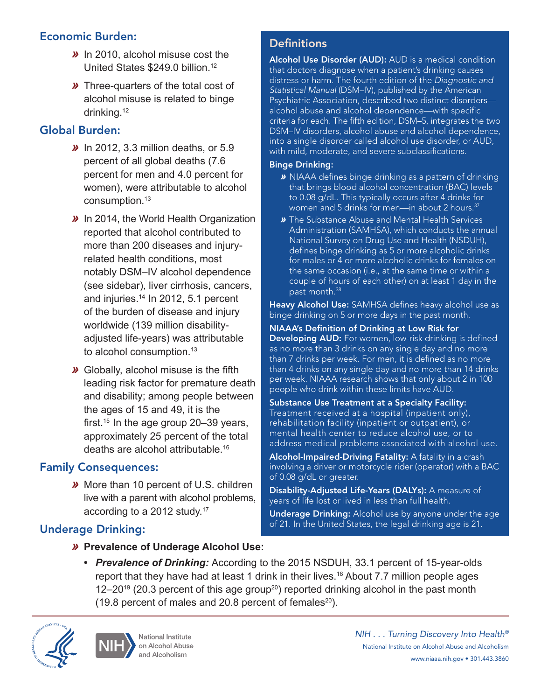# Economic Burden:

- *»* In 2010, alcohol misuse cost the United States \$249.0 billion.12
- *»* Three-quarters of the total cost of alcohol misuse is related to binge drinking.12

### Global Burden:

- *»* In 2012, 3.3 million deaths, or 5.9 percent of all global deaths (7.6 percent for men and 4.0 percent for women), were attributable to alcohol consumption.13
- *»* In 2014, the World Health Organization reported that alcohol contributed to more than 200 diseases and injuryrelated health conditions, most notably DSM–IV alcohol dependence (see sidebar), liver cirrhosis, cancers, and injuries.14 In 2012, 5.1 percent of the burden of disease and injury worldwide (139 million disabilityadjusted life-years) was attributable to alcohol consumption.<sup>13</sup>
- *»* Globally, alcohol misuse is the fifth leading risk factor for premature death and disability; among people between the ages of 15 and 49, it is the first.<sup>15</sup> In the age group 20–39 years, approximately 25 percent of the total deaths are alcohol attributable.16

### Family Consequences:

*»* More than 10 percent of U.S. children live with a parent with alcohol problems, according to a 2012 study.17

# Underage Drinking:

### **Definitions**

Alcohol Use Disorder (AUD): AUD is a medical condition that doctors diagnose when a patient's drinking causes distress or harm. The fourth edition of the *Diagnostic and Statistical Manual* (DSM–IV), published by the American Psychiatric Association, described two distinct disorders alcohol abuse and alcohol dependence—with specific criteria for each. The fifth edition, DSM–5, integrates the two DSM–IV disorders, alcohol abuse and alcohol dependence, into a single disorder called alcohol use disorder, or AUD, with mild, moderate, and severe subclassifications.

#### Binge Drinking:

- *»* NIAAA defines binge drinking as a pattern of drinking that brings blood alcohol concentration (BAC) levels to 0.08 g/dL. This typically occurs after 4 drinks for women and 5 drinks for men—in about 2 hours.37
- *»* The Substance Abuse and Mental Health Services Administration (SAMHSA), which conducts the annual National Survey on Drug Use and Health (NSDUH), defines binge drinking as 5 or more alcoholic drinks for males or 4 or more alcoholic drinks for females on the same occasion (i.e., at the same time or within a couple of hours of each other) on at least 1 day in the past month.38

Heavy Alcohol Use: SAMHSA defines heavy alcohol use as binge drinking on 5 or more days in the past month.

NIAAA's Definition of Drinking at Low Risk for Developing AUD: For women, low-risk drinking is defined as no more than 3 drinks on any single day and no more than 7 drinks per week. For men, it is defined as no more than 4 drinks on any single day and no more than 14 drinks per week. NIAAA research shows that only about 2 in 100 people who drink within these limits have AUD.

Substance Use Treatment at a Specialty Facility: Treatment received at a hospital (inpatient only), rehabilitation facility (inpatient or outpatient), or mental health center to reduce alcohol use, or to address medical problems associated with alcohol use.

Alcohol-Impaired-Driving Fatality: A fatality in a crash involving a driver or motorcycle rider (operator) with a BAC of 0.08 g/dL or greater.

Disability-Adjusted Life-Years (DALYs): A measure of years of life lost or lived in less than full health.

Underage Drinking: Alcohol use by anyone under the age of 21. In the United States, the legal drinking age is 21.

- *»* **Prevalence of Underage Alcohol Use:**
	- *• Prevalence of Drinking:* According to the 2015 NSDUH, 33.1 percent of 15-year-olds report that they have had at least 1 drink in their lives.<sup>18</sup> About 7.7 million people ages  $12-20^{19}$  (20.3 percent of this age group<sup>20</sup>) reported drinking alcohol in the past month  $(19.8 \text{ percent of males and } 20.8 \text{ percent of females}^{20}).$





*NIH . . . Turning Discovery Into Health®* National Institute on Alcohol Abuse and Alcoholism www.niaaa.nih.gov • 301.443.3860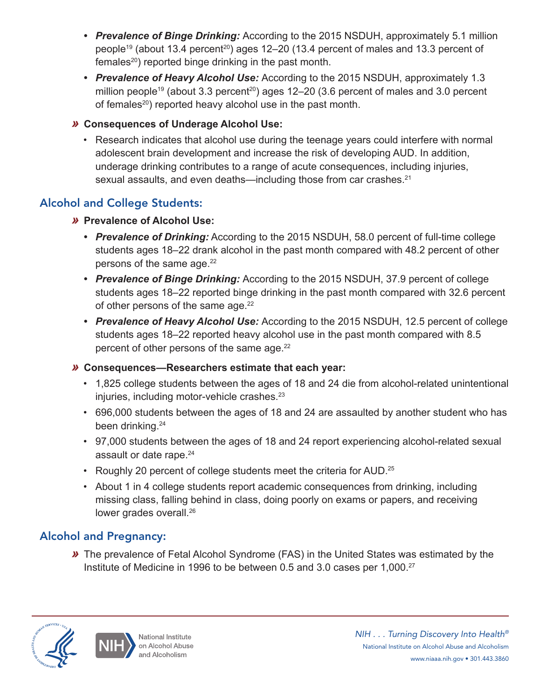- *• Prevalence of Binge Drinking:* According to the 2015 NSDUH, approximately 5.1 million people<sup>19</sup> (about 13.4 percent<sup>20</sup>) ages 12–20 (13.4 percent of males and 13.3 percent of females<sup>20</sup>) reported binge drinking in the past month.
- *• Prevalence of Heavy Alcohol Use:* According to the 2015 NSDUH, approximately 1.3 million people<sup>19</sup> (about 3.3 percent<sup>20</sup>) ages 12-20 (3.6 percent of males and 3.0 percent of females<sup>20</sup>) reported heavy alcohol use in the past month.

### *»* **Consequences of Underage Alcohol Use:**

• Research indicates that alcohol use during the teenage years could interfere with normal adolescent brain development and increase the risk of developing AUD. In addition, underage drinking contributes to a range of acute consequences, including injuries, sexual assaults, and even deaths—including those from car crashes.<sup>21</sup>

# Alcohol and College Students:

### *»* **Prevalence of Alcohol Use:**

- *• Prevalence of Drinking:* According to the 2015 NSDUH, 58.0 percent of full-time college students ages 18–22 drank alcohol in the past month compared with 48.2 percent of other persons of the same age.<sup>22</sup>
- *• Prevalence of Binge Drinking:* According to the 2015 NSDUH, 37.9 percent of college students ages 18–22 reported binge drinking in the past month compared with 32.6 percent of other persons of the same age.<sup>22</sup>
- *• Prevalence of Heavy Alcohol Use:* According to the 2015 NSDUH, 12.5 percent of college students ages 18–22 reported heavy alcohol use in the past month compared with 8.5 percent of other persons of the same age.<sup>22</sup>

### *»* **Consequences—Researchers estimate that each year:**

- 1,825 college students between the ages of 18 and 24 die from alcohol-related unintentional injuries, including motor-vehicle crashes.<sup>23</sup>
- 696,000 students between the ages of 18 and 24 are assaulted by another student who has been drinking.<sup>24</sup>
- 97,000 students between the ages of 18 and 24 report experiencing alcohol-related sexual assault or date rape.<sup>24</sup>
- Roughly 20 percent of college students meet the criteria for AUD.<sup>25</sup>
- About 1 in 4 college students report academic consequences from drinking, including missing class, falling behind in class, doing poorly on exams or papers, and receiving lower grades overall.<sup>26</sup>

# Alcohol and Pregnancy:

*»* The prevalence of Fetal Alcohol Syndrome (FAS) in the United States was estimated by the Institute of Medicine in 1996 to be between 0.5 and 3.0 cases per 1,000.<sup>27</sup>



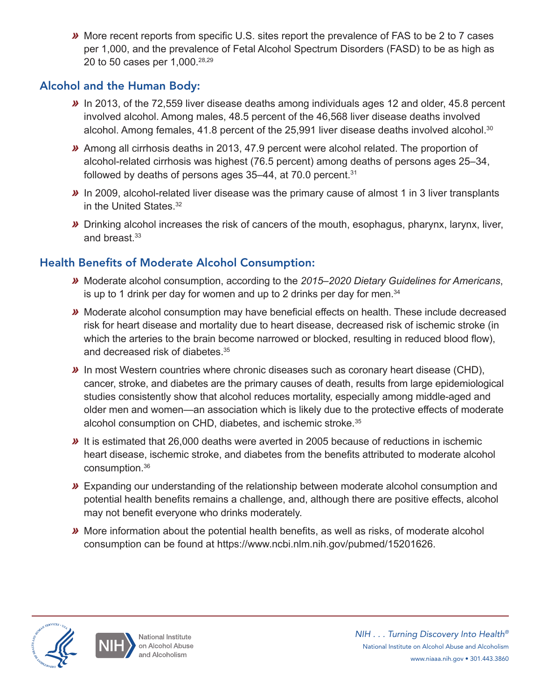*»* More recent reports from specific U.S. sites report the prevalence of FAS to be 2 to 7 cases per 1,000, and the prevalence of Fetal Alcohol Spectrum Disorders (FASD) to be as high as 20 to 50 cases per 1,000.28,29

# Alcohol and the Human Body:

- *»* In 2013, of the 72,559 liver disease deaths among individuals ages 12 and older, 45.8 percent involved alcohol. Among males, 48.5 percent of the 46,568 liver disease deaths involved alcohol. Among females, 41.8 percent of the 25,991 liver disease deaths involved alcohol.<sup>30</sup>
- *»* Among all cirrhosis deaths in 2013, 47.9 percent were alcohol related. The proportion of alcohol-related cirrhosis was highest (76.5 percent) among deaths of persons ages 25–34, followed by deaths of persons ages 35–44, at 70.0 percent.<sup>31</sup>
- *»* In 2009, alcohol-related liver disease was the primary cause of almost 1 in 3 liver transplants in the United States.<sup>32</sup>
- *»* Drinking alcohol increases the risk of cancers of the mouth, esophagus, pharynx, larynx, liver, and breast.<sup>33</sup>

# Health Benefits of Moderate Alcohol Consumption:

- *»* Moderate alcohol consumption, according to the *2015–2020 Dietary Guidelines for Americans*, is up to 1 drink per day for women and up to 2 drinks per day for men. $34$
- *»* Moderate alcohol consumption may have beneficial effects on health. These include decreased risk for heart disease and mortality due to heart disease, decreased risk of ischemic stroke (in which the arteries to the brain become narrowed or blocked, resulting in reduced blood flow), and decreased risk of diabetes.35
- *»* In most Western countries where chronic diseases such as coronary heart disease (CHD), cancer, stroke, and diabetes are the primary causes of death, results from large epidemiological studies consistently show that alcohol reduces mortality, especially among middle-aged and older men and women—an association which is likely due to the protective effects of moderate alcohol consumption on CHD, diabetes, and ischemic stroke.<sup>35</sup>
- *»* It is estimated that 26,000 deaths were averted in 2005 because of reductions in ischemic heart disease, ischemic stroke, and diabetes from the benefits attributed to moderate alcohol consumption.36
- *»* Expanding our understanding of the relationship between moderate alcohol consumption and potential health benefits remains a challenge, and, although there are positive effects, alcohol may not benefit everyone who drinks moderately.
- *»* More information about the potential health benefits, as well as risks, of moderate alcohol consumption can be found at https://www.ncbi.nlm.nih.gov/pubmed/15201626.



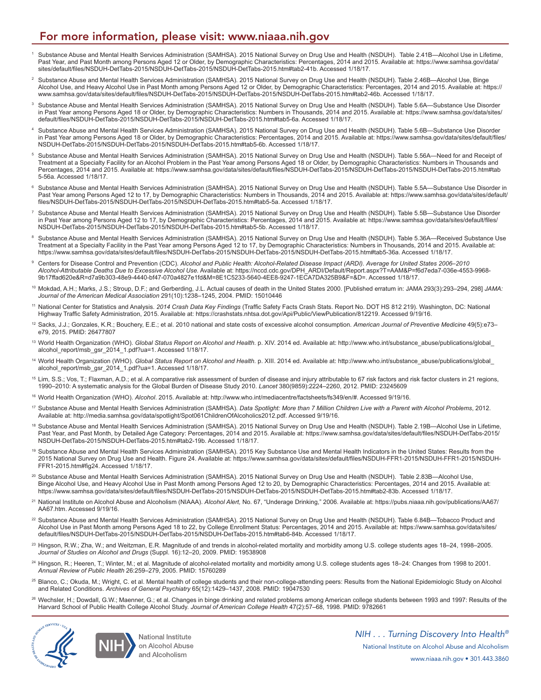### For more information, please visit: www.niaaa.nih.gov

- Substance Abuse and Mental Health Services Administration (SAMHSA). 2015 National Survey on Drug Use and Health (NSDUH). Table 2.41B-Alcohol Use in Lifetime, Past Year, and Past Month among Persons Aged 12 or Older, by Demographic Characteristics: Percentages, 2014 and 2015. Available at: https://www.samhsa.gov/data/ sites/default/files/NSDUH-DetTabs-2015/NSDUH-DetTabs-2015/NSDUH-DetTabs-2015.htm#tab2-41b. Accessed 1/18/17.
- <sup>2</sup> Substance Abuse and Mental Health Services Administration (SAMHSA). 2015 National Survey on Drug Use and Health (NSDUH). Table 2.46B—Alcohol Use, Binge Alcohol Use, and Heavy Alcohol Use in Past Month among Persons Aged 12 or Older, by Demographic Characteristics: Percentages, 2014 and 2015. Available at: https:// www.samhsa.gov/data/sites/default/files/NSDUH-DetTabs-2015/NSDUH-DetTabs-2015/NSDUH-DetTabs-2015.htm#tab2-46b. Accessed 1/18/17.
- <sup>3</sup> Substance Abuse and Mental Health Services Administration (SAMHSA). 2015 National Survey on Drug Use and Health (NSDUH). Table 5.6A—Substance Use Disorder in Past Year among Persons Aged 18 or Older, by Demographic Characteristics: Numbers in Thousands, 2014 and 2015. Available at: https://www.samhsa.gov/data/sites/ default/files/NSDUH-DetTabs-2015/NSDUH-DetTabs-2015/NSDUH-DetTabs-2015.htm#tab5-6a. Accessed 1/18/17.
- Substance Abuse and Mental Health Services Administration (SAMHSA). 2015 National Survey on Drug Use and Health (NSDUH). Table 5.6B-Substance Use Disorder in Past Year among Persons Aged 18 or Older, by Demographic Characteristics: Percentages, 2014 and 2015. Available at: https://www.samhsa.gov/data/sites/default/files/ NSDUH-DetTabs-2015/NSDUH-DetTabs-2015/NSDUH-DetTabs-2015.htm#tab5-6b. Accessed 1/18/17.
- <sup>5</sup> Substance Abuse and Mental Health Services Administration (SAMHSA). 2015 National Survey on Drug Use and Health (NSDUH). Table 5.56A—Need for and Receipt of Treatment at a Specialty Facility for an Alcohol Problem in the Past Year among Persons Aged 18 or Older, by Demographic Characteristics: Numbers in Thousands and Percentages, 2014 and 2015. Available at: https://www.samhsa.gov/data/sites/default/files/NSDUH-DetTabs-2015/NSDUH-DetTabs-2015/NSDUH-DetTabs-2015.htm#tab 5-56a. Accessed 1/18/17.
- <sup>6</sup> Substance Abuse and Mental Health Services Administration (SAMHSA). 2015 National Survey on Drug Use and Health (NSDUH). Table 5.5A—Substance Use Disorder in Past Year among Persons Aged 12 to 17, by Demographic Characteristics: Numbers in Thousands, 2014 and 2015. Available at: https://www.samhsa.gov/data/sites/default/ files/NSDUH-DetTabs-2015/NSDUH-DetTabs-2015/NSDUH-DetTabs-2015.htm#tab5-5a. Accessed 1/18/17.
- <sup>7</sup> Substance Abuse and Mental Health Services Administration (SAMHSA). 2015 National Survey on Drug Use and Health (NSDUH). Table 5.5B—Substance Use Disorder in Past Year among Persons Aged 12 to 17, by Demographic Characteristics: Percentages, 2014 and 2015. Available at: https://www.samhsa.gov/data/sites/default/files/ NSDUH-DetTabs-2015/NSDUH-DetTabs-2015/NSDUH-DetTabs-2015.htm#tab5-5b. Accessed 1/18/17.
- <sup>8</sup> Substance Abuse and Mental Health Services Administration (SAMHSA). 2015 National Survey on Drug Use and Health (NSDUH). Table 5.36A—Received Substance Use Treatment at a Specialty Facility in the Past Year among Persons Aged 12 to 17, by Demographic Characteristics: Numbers in Thousands, 2014 and 2015. Available at: https://www.samhsa.gov/data/sites/default/files/NSDUH-DetTabs-2015/NSDUH-DetTabs-2015/NSDUH-DetTabs-2015.htm#tab5-36a. Accessed 1/18/17.
- <sup>9</sup> Centers for Disease Control and Prevention (CDC). *Alcohol and Public Health: Alcohol-Related Disease Impact (ARDI). Average for United States 2006–2010 Alcohol-Attributable Deaths Due to Excessive Alcohol Use.* Available at: https://nccd.cdc.gov/DPH\_ARDI/Default/Report.aspx?T=AAM&P=f6d7eda7-036e-4553-9968- 9b17ffad620e&R=d7a9b303-48e9-4440-bf47-070a4827e1fd&M=8E1C5233-5640-4EE8-9247-1ECA7DA325B9&F=&D=. Accessed 1/18/17.
- <sup>10</sup> Mokdad, A.H.; Marks, J.S.; Stroup, D.F.; and Gerberding, J.L. Actual causes of death in the United States 2000. [Published erratum in: JAMA 293(3):293–294, 298] *JAMA: Journal of the American Medical Association* 291(10):1238–1245, 2004. PMID: 15010446
- <sup>11</sup> National Center for Statistics and Analysis. *2014 Crash Data Key Findings* (Traffic Safety Facts Crash Stats. Report No. DOT HS 812 219). Washington, DC: National Highway Traffic Safety Administration, 2015. Available at: https://crashstats.nhtsa.dot.gov/Api/Public/ViewPublication/812219. Accessed 9/19/16.
- <sup>12</sup> Sacks, J.J.; Gonzales, K.R.; Bouchery, E.E.; et al. 2010 national and state costs of excessive alcohol consumption. *American Journal of Preventive Medicine* 49(5):e73– e79, 2015. PMID: 26477807
- <sup>13</sup> World Health Organization (WHO). Global Status Report on Alcohol and Health. p. XIV. 2014 ed. Available at: http://www.who.int/substance abuse/publications/global alcohol\_report/msb\_gsr\_2014\_1.pdf?ua=1. Accessed 1/18/17.
- <sup>14</sup> World Health Organization (WHO). *Global Status Report on Alcohol and Health.* p. XIII. 2014 ed. Available at: http://www.who.int/substance\_abuse/publications/global\_ alcohol\_report/msb\_gsr\_2014\_1.pdf?ua=1. Accessed 1/18/17.
- <sup>15</sup> Lim, S.S.; Vos, T.; Flaxman, A.D.; et al. A comparative risk assessment of burden of disease and injury attributable to 67 risk factors and risk factor clusters in 21 regions, 1990–2010: A systematic analysis for the Global Burden of Disease Study 2010. *Lancet* 380(9859):2224–2260, 2012. PMID: 23245609
- <sup>16</sup> World Health Organization (WHO). *Alcohol*. 2015. Available at: http://www.who.int/mediacentre/factsheets/fs349/en/#. Accessed 9/19/16.
- <sup>17</sup> Substance Abuse and Mental Health Services Administration (SAMHSA). *Data Spotlight: More than 7 Million Children Live with a Parent with Alcohol Problems*, 2012. Available at: http://media.samhsa.gov/data/spotlight/Spot061ChildrenOfAlcoholics2012.pdf. Accessed 9/19/16.
- <sup>18</sup> Substance Abuse and Mental Health Services Administration (SAMHSA). 2015 National Survey on Drug Use and Health (NSDUH). Table 2.19B--Alcohol Use in Lifetime, Past Year, and Past Month, by Detailed Age Category: Percentages, 2014 and 2015. Available at: https://www.samhsa.gov/data/sites/default/files/NSDUH-DetTabs-2015/ NSDUH-DetTabs-2015/NSDUH-DetTabs-2015.htm#tab2-19b. Accessed 1/18/17.
- <sup>19</sup> Substance Abuse and Mental Health Services Administration (SAMHSA). 2015 Key Substance Use and Mental Health Indicators in the United States: Results from the 2015 National Survey on Drug Use and Health. Figure 24. Available at: https://www.samhsa.gov/data/sites/default/files/NSDUH-FFR1-2015/NSDUH-FFR1-2015/NSDUH-FFR1-2015.htm#fig24. Accessed 1/18/17.
- <sup>20</sup> Substance Abuse and Mental Health Services Administration (SAMHSA). 2015 National Survey on Drug Use and Health (NSDUH). Table 2.83B-Alcohol Use, Binge Alcohol Use, and Heavy Alcohol Use in Past Month among Persons Aged 12 to 20, by Demographic Characteristics: Percentages, 2014 and 2015. Available at: https://www.samhsa.gov/data/sites/default/files/NSDUH-DetTabs-2015/NSDUH-DetTabs-2015/NSDUH-DetTabs-2015.htm#tab2-83b. Accessed 1/18/17.
- <sup>21</sup> National Institute on Alcohol Abuse and Alcoholism (NIAAA). *Alcohol Alert,* No. 67, "Underage Drinking," 2006. Available at: https://pubs.niaaa.nih.gov/publications/AA67/ AA67.htm. Accessed 9/19/16.
- <sup>22</sup> Substance Abuse and Mental Health Services Administration (SAMHSA). 2015 National Survey on Drug Use and Health (NSDUH). Table 6.84B—Tobacco Product and Alcohol Use in Past Month among Persons Aged 18 to 22, by College Enrollment Status: Percentages, 2014 and 2015. Available at: https://www.samhsa.gov/data/sites/ default/files/NSDUH-DetTabs-2015/NSDUH-DetTabs-2015/NSDUH-DetTabs-2015.htm#tab6-84b. Accessed 1/18/17.
- <sup>23</sup> Hingson, R.W.; Zha, W.; and Weitzman, E.R. Magnitude of and trends in alcohol-related mortality and morbidity among U.S. college students ages 18–24, 1998–2005. *Journal of Studies on Alcohol and Drugs* (Suppl. 16):12–20, 2009. PMID: 19538908
- <sup>24</sup> Hingson, R.; Heeren, T.; Winter, M.; et al. Magnitude of alcohol-related mortality and morbidity among U.S. college students ages 18–24: Changes from 1998 to 2001. *Annual Review of Public Health* 26:259–279, 2005. PMID: 15760289
- <sup>25</sup> Blanco, C.; Okuda, M.; Wright, C. et al. Mental health of college students and their non-college-attending peers: Results from the National Epidemiologic Study on Alcohol and Related Conditions. *Archives of General Psychiatry* 65(12):1429–1437, 2008. PMID: 19047530
- <sup>26</sup> Wechsler, H.; Dowdall, G.W.; Maenner, G.; et al. Changes in binge drinking and related problems among American college students between 1993 and 1997: Results of the Harvard School of Public Health College Alcohol Study. *Journal of American College Health* 47(2):57–68, 1998. PMID: 9782661





*NIH . . . Turning Discovery Into Health®* National Institute on Alcohol Abuse and Alcoholism www.niaaa.nih.gov • 301.443.3860